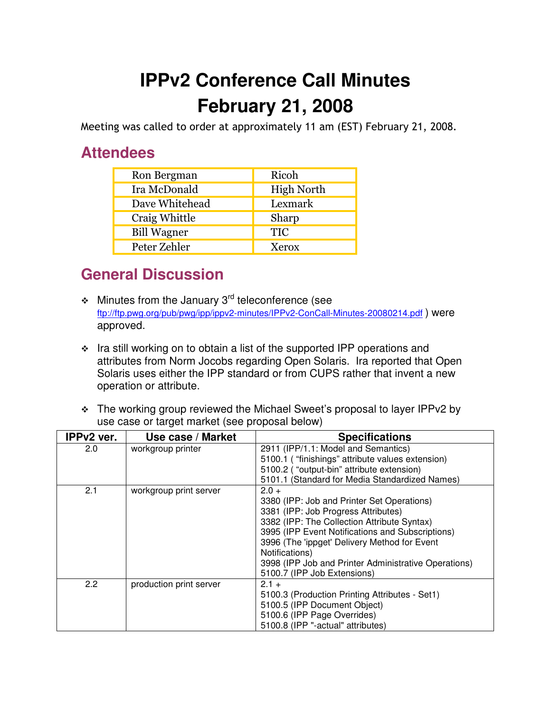## **IPPv2 Conference Call Minutes February 21, 2008**

Meeting was called to order at approximately 11 am (EST) February 21, 2008.

## **Attendees**

| Ron Bergman        | Ricoh             |
|--------------------|-------------------|
| Ira McDonald       | <b>High North</b> |
| Dave Whitehead     | Lexmark           |
| Craig Whittle      | Sharp             |
| <b>Bill Wagner</b> | <b>TIC</b>        |
| Peter Zehler       | Xerox             |

## **General Discussion**

- $\div$  Minutes from the January 3<sup>rd</sup> teleconference (see ftp://ftp.pwg.org/pub/pwg/ipp/ippv2-minutes/IPPv2-ConCall-Minutes-20080214.pdf ) were approved.
- \* Ira still working on to obtain a list of the supported IPP operations and attributes from Norm Jocobs regarding Open Solaris. Ira reported that Open Solaris uses either the IPP standard or from CUPS rather that invent a new operation or attribute.
- The working group reviewed the Michael Sweet's proposal to layer IPPv2 by use case or target market (see proposal below)

| IPPv2 ver. | Use case / Market       | <b>Specifications</b>                                                                                                                                                                                                                                                                                                                                    |
|------------|-------------------------|----------------------------------------------------------------------------------------------------------------------------------------------------------------------------------------------------------------------------------------------------------------------------------------------------------------------------------------------------------|
| 2.0        | workgroup printer       | 2911 (IPP/1.1: Model and Semantics)<br>5100.1 ("finishings" attribute values extension)<br>5100.2 ("output-bin" attribute extension)<br>5101.1 (Standard for Media Standardized Names)                                                                                                                                                                   |
| 2.1        | workgroup print server  | $2.0 +$<br>3380 (IPP: Job and Printer Set Operations)<br>3381 (IPP: Job Progress Attributes)<br>3382 (IPP: The Collection Attribute Syntax)<br>3995 (IPP Event Notifications and Subscriptions)<br>3996 (The 'ippget' Delivery Method for Event<br>Notifications)<br>3998 (IPP Job and Printer Administrative Operations)<br>5100.7 (IPP Job Extensions) |
| 2.2        | production print server | $2.1 +$<br>5100.3 (Production Printing Attributes - Set1)<br>5100.5 (IPP Document Object)<br>5100.6 (IPP Page Overrides)<br>5100.8 (IPP "-actual" attributes)                                                                                                                                                                                            |